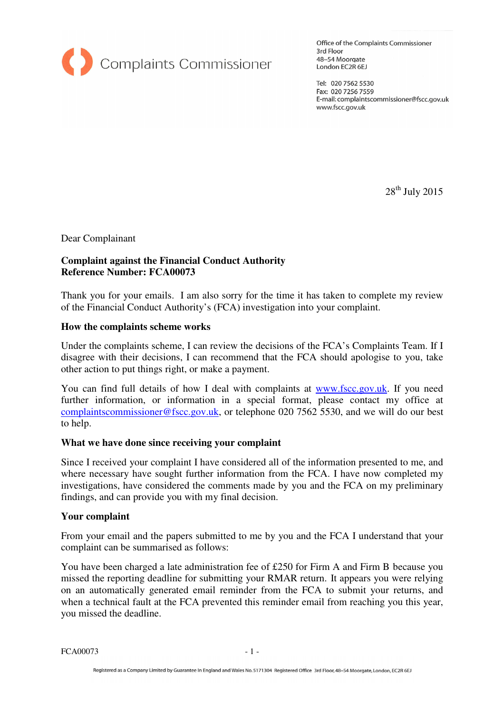

Office of the Complaints Commissioner 3rd Floor 48-54 Moorgate London EC2R 6EJ

Tel: 020 7562 5530 Fax: 020 7256 7559 E-mail: complaintscommissioner@fscc.gov.uk www.fscc.gov.uk

 $28<sup>th</sup>$  July 2015

Dear Complainant

## **Complaint against the Financial Conduct Authority Reference Number: FCA00073**

Thank you for your emails. I am also sorry for the time it has taken to complete my review of the Financial Conduct Authority's (FCA) investigation into your complaint.

### **How the complaints scheme works**

Under the complaints scheme, I can review the decisions of the FCA's Complaints Team. If I disagree with their decisions, I can recommend that the FCA should apologise to you, take other action to put things right, or make a payment.

You can find full details of how I deal with complaints at www.fscc.gov.uk. If you need further information, or information in a special format, please contact my office at complaintscommissioner@fscc.gov.uk, or telephone 020 7562 5530, and we will do our best to help.

### **What we have done since receiving your complaint**

Since I received your complaint I have considered all of the information presented to me, and where necessary have sought further information from the FCA. I have now completed my investigations, have considered the comments made by you and the FCA on my preliminary findings, and can provide you with my final decision.

### **Your complaint**

From your email and the papers submitted to me by you and the FCA I understand that your complaint can be summarised as follows:

You have been charged a late administration fee of £250 for Firm A and Firm B because you missed the reporting deadline for submitting your RMAR return. It appears you were relying on an automatically generated email reminder from the FCA to submit your returns, and when a technical fault at the FCA prevented this reminder email from reaching you this year, you missed the deadline.

 $FCA00073$  - 1 -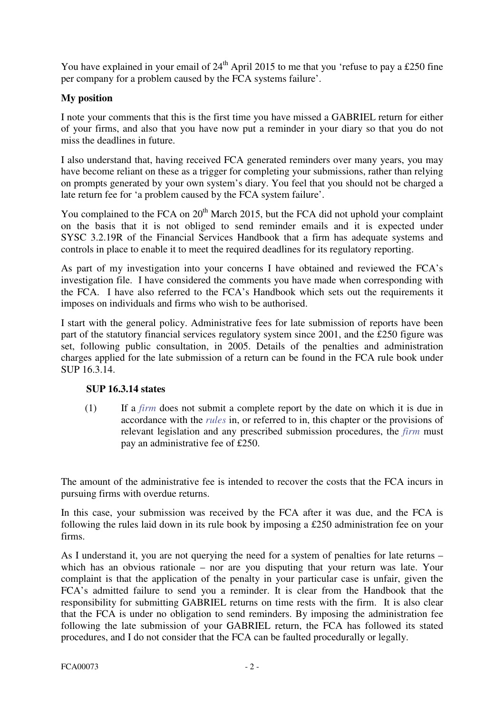You have explained in your email of  $24<sup>th</sup>$  April 2015 to me that you 'refuse to pay a £250 fine per company for a problem caused by the FCA systems failure'.

# **My position**

I note your comments that this is the first time you have missed a GABRIEL return for either of your firms, and also that you have now put a reminder in your diary so that you do not miss the deadlines in future.

I also understand that, having received FCA generated reminders over many years, you may have become reliant on these as a trigger for completing your submissions, rather than relying on prompts generated by your own system's diary. You feel that you should not be charged a late return fee for 'a problem caused by the FCA system failure'.

You complained to the FCA on 20<sup>th</sup> March 2015, but the FCA did not uphold your complaint on the basis that it is not obliged to send reminder emails and it is expected under SYSC 3.2.19R of the Financial Services Handbook that a firm has adequate systems and controls in place to enable it to meet the required deadlines for its regulatory reporting.

As part of my investigation into your concerns I have obtained and reviewed the FCA's investigation file. I have considered the comments you have made when corresponding with the FCA. I have also referred to the FCA's Handbook which sets out the requirements it imposes on individuals and firms who wish to be authorised.

I start with the general policy. Administrative fees for late submission of reports have been part of the statutory financial services regulatory system since 2001, and the £250 figure was set, following public consultation, in 2005. Details of the penalties and administration charges applied for the late submission of a return can be found in the FCA rule book under SUP 16.3.14.

### **SUP 16.3.14 states**

(1) If a *firm* does not submit a complete report by the date on which it is due in accordance with the *rules* in, or referred to in, this chapter or the provisions of relevant legislation and any prescribed submission procedures, the *firm* must pay an administrative fee of £250.

The amount of the administrative fee is intended to recover the costs that the FCA incurs in pursuing firms with overdue returns.

In this case, your submission was received by the FCA after it was due, and the FCA is following the rules laid down in its rule book by imposing a £250 administration fee on your firms.

As I understand it, you are not querying the need for a system of penalties for late returns – which has an obvious rationale – nor are you disputing that your return was late. Your complaint is that the application of the penalty in your particular case is unfair, given the FCA's admitted failure to send you a reminder. It is clear from the Handbook that the responsibility for submitting GABRIEL returns on time rests with the firm. It is also clear that the FCA is under no obligation to send reminders. By imposing the administration fee following the late submission of your GABRIEL return, the FCA has followed its stated procedures, and I do not consider that the FCA can be faulted procedurally or legally.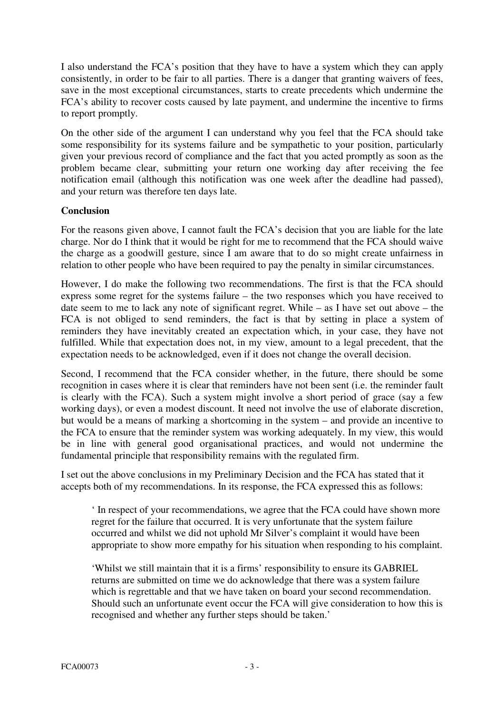I also understand the FCA's position that they have to have a system which they can apply consistently, in order to be fair to all parties. There is a danger that granting waivers of fees, save in the most exceptional circumstances, starts to create precedents which undermine the FCA's ability to recover costs caused by late payment, and undermine the incentive to firms to report promptly.

On the other side of the argument I can understand why you feel that the FCA should take some responsibility for its systems failure and be sympathetic to your position, particularly given your previous record of compliance and the fact that you acted promptly as soon as the problem became clear, submitting your return one working day after receiving the fee notification email (although this notification was one week after the deadline had passed), and your return was therefore ten days late.

# **Conclusion**

For the reasons given above, I cannot fault the FCA's decision that you are liable for the late charge. Nor do I think that it would be right for me to recommend that the FCA should waive the charge as a goodwill gesture, since I am aware that to do so might create unfairness in relation to other people who have been required to pay the penalty in similar circumstances.

However, I do make the following two recommendations. The first is that the FCA should express some regret for the systems failure – the two responses which you have received to date seem to me to lack any note of significant regret. While – as I have set out above – the FCA is not obliged to send reminders, the fact is that by setting in place a system of reminders they have inevitably created an expectation which, in your case, they have not fulfilled. While that expectation does not, in my view, amount to a legal precedent, that the expectation needs to be acknowledged, even if it does not change the overall decision.

Second, I recommend that the FCA consider whether, in the future, there should be some recognition in cases where it is clear that reminders have not been sent (i.e. the reminder fault is clearly with the FCA). Such a system might involve a short period of grace (say a few working days), or even a modest discount. It need not involve the use of elaborate discretion, but would be a means of marking a shortcoming in the system – and provide an incentive to the FCA to ensure that the reminder system was working adequately. In my view, this would be in line with general good organisational practices, and would not undermine the fundamental principle that responsibility remains with the regulated firm.

I set out the above conclusions in my Preliminary Decision and the FCA has stated that it accepts both of my recommendations. In its response, the FCA expressed this as follows:

' In respect of your recommendations, we agree that the FCA could have shown more regret for the failure that occurred. It is very unfortunate that the system failure occurred and whilst we did not uphold Mr Silver's complaint it would have been appropriate to show more empathy for his situation when responding to his complaint.

'Whilst we still maintain that it is a firms' responsibility to ensure its GABRIEL returns are submitted on time we do acknowledge that there was a system failure which is regrettable and that we have taken on board your second recommendation. Should such an unfortunate event occur the FCA will give consideration to how this is recognised and whether any further steps should be taken.'